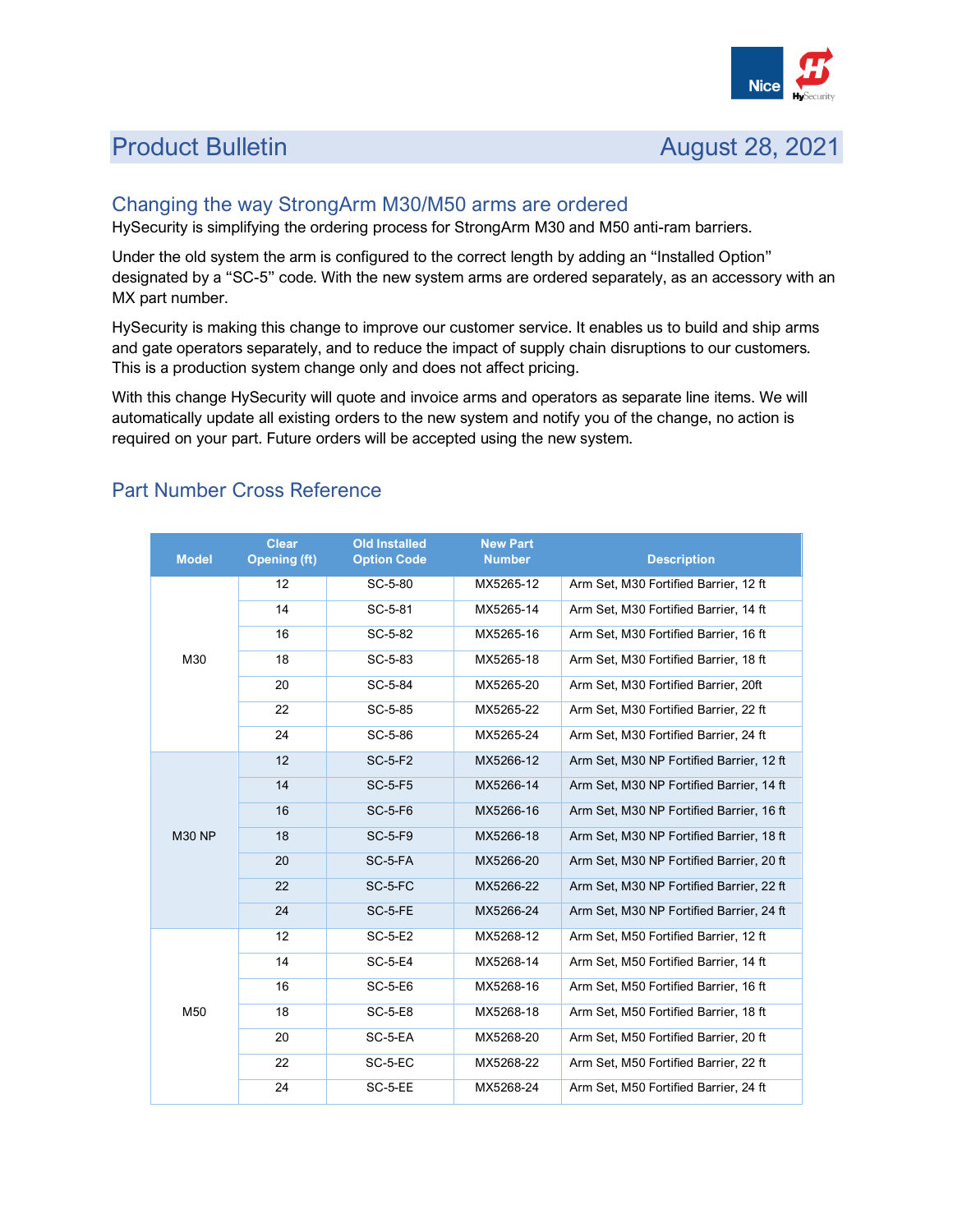

# **Product Bulletin August 28, 2021**

### Changing the way StrongArm M30/M50 arms are ordered

HySecurity is simplifying the ordering process for StrongArm M30 and M50 anti-ram barriers.

Under the old system the arm is configured to the correct length by adding an "Installed Option" designated by a "SC-5" code. With the new system arms are ordered separately, as an accessory with an MX part number.

HySecurity is making this change to improve our customer service. It enables us to build and ship arms and gate operators separately, and to reduce the impact of supply chain disruptions to our customers. This is a production system change only and does not affect pricing.

With this change HySecurity will quote and invoice arms and operators as separate line items. We will automatically update all existing orders to the new system and notify you of the change, no action is required on your part. Future orders will be accepted using the new system.

| <b>Model</b>  | <b>Clear</b><br><b>Opening (ft)</b> | <b>Old Installed</b><br><b>Option Code</b> | <b>New Part</b><br><b>Number</b> | <b>Description</b>                        |
|---------------|-------------------------------------|--------------------------------------------|----------------------------------|-------------------------------------------|
| M30           | 12                                  | SC-5-80                                    | MX5265-12                        | Arm Set, M30 Fortified Barrier, 12 ft     |
|               | 14                                  | SC-5-81                                    | MX5265-14                        | Arm Set, M30 Fortified Barrier, 14 ft     |
|               | 16                                  | SC-5-82                                    | MX5265-16                        | Arm Set, M30 Fortified Barrier, 16 ft     |
|               | 18                                  | SC-5-83                                    | MX5265-18                        | Arm Set, M30 Fortified Barrier, 18 ft     |
|               | 20                                  | SC-5-84                                    | MX5265-20                        | Arm Set, M30 Fortified Barrier, 20ft      |
|               | 22                                  | SC-5-85                                    | MX5265-22                        | Arm Set, M30 Fortified Barrier, 22 ft     |
|               | 24                                  | SC-5-86                                    | MX5265-24                        | Arm Set, M30 Fortified Barrier, 24 ft     |
| <b>M30 NP</b> | 12                                  | <b>SC-5-F2</b>                             | MX5266-12                        | Arm Set, M30 NP Fortified Barrier, 12 ft  |
|               | 14                                  | <b>SC-5-F5</b>                             | MX5266-14                        | Arm Set, M30 NP Fortified Barrier, 14 ft  |
|               | 16                                  | <b>SC-5-F6</b>                             | MX5266-16                        | Arm Set, M30 NP Fortified Barrier, 16 ft  |
|               | 18                                  | <b>SC-5-F9</b>                             | MX5266-18                        | Arm Set, M30 NP Fortified Barrier, 18 ft  |
|               | 20                                  | SC-5-FA                                    | MX5266-20                        | Arm Set, M30 NP Fortified Barrier, 20 ft  |
|               | 22                                  | SC-5-FC                                    | MX5266-22                        | Arm Set. M30 NP Fortified Barrier, 22 ft. |
|               | 24                                  | SC-5-FE                                    | MX5266-24                        | Arm Set, M30 NP Fortified Barrier, 24 ft  |
| M50           | 12                                  | <b>SC-5-E2</b>                             | MX5268-12                        | Arm Set, M50 Fortified Barrier, 12 ft     |
|               | 14                                  | <b>SC-5-E4</b>                             | MX5268-14                        | Arm Set. M50 Fortified Barrier, 14 ft     |
|               | 16                                  | <b>SC-5-E6</b>                             | MX5268-16                        | Arm Set, M50 Fortified Barrier, 16 ft     |
|               | 18                                  | <b>SC-5-E8</b>                             | MX5268-18                        | Arm Set, M50 Fortified Barrier, 18 ft     |
|               | 20                                  | SC-5-EA                                    | MX5268-20                        | Arm Set. M50 Fortified Barrier, 20 ft.    |
|               | 22                                  | SC-5-EC                                    | MX5268-22                        | Arm Set, M50 Fortified Barrier, 22 ft     |
|               | 24                                  | SC-5-EE                                    | MX5268-24                        | Arm Set, M50 Fortified Barrier, 24 ft     |

# Part Number Cross Reference